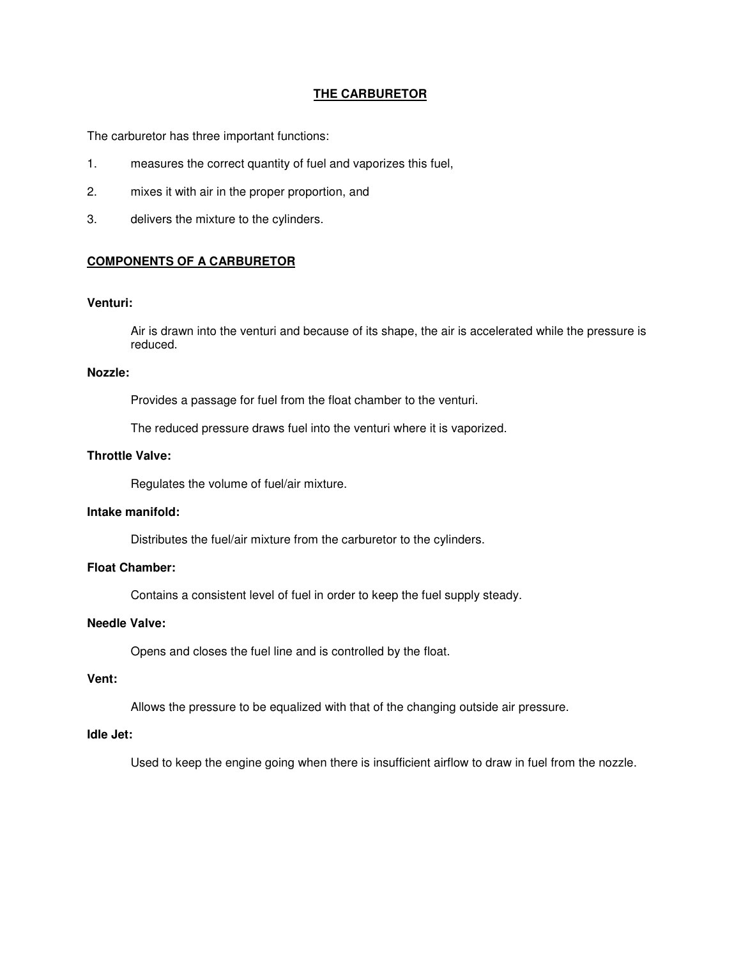# **THE CARBURETOR**

The carburetor has three important functions:

- 1. measures the correct quantity of fuel and vaporizes this fuel,
- 2. mixes it with air in the proper proportion, and
- 3. delivers the mixture to the cylinders.

# **COMPONENTS OF A CARBURETOR**

## **Venturi:**

Air is drawn into the venturi and because of its shape, the air is accelerated while the pressure is reduced.

#### **Nozzle:**

Provides a passage for fuel from the float chamber to the venturi.

The reduced pressure draws fuel into the venturi where it is vaporized.

# **Throttle Valve:**

Regulates the volume of fuel/air mixture.

#### **Intake manifold:**

Distributes the fuel/air mixture from the carburetor to the cylinders.

# **Float Chamber:**

Contains a consistent level of fuel in order to keep the fuel supply steady.

#### **Needle Valve:**

Opens and closes the fuel line and is controlled by the float.

## **Vent:**

Allows the pressure to be equalized with that of the changing outside air pressure.

### **Idle Jet:**

Used to keep the engine going when there is insufficient airflow to draw in fuel from the nozzle.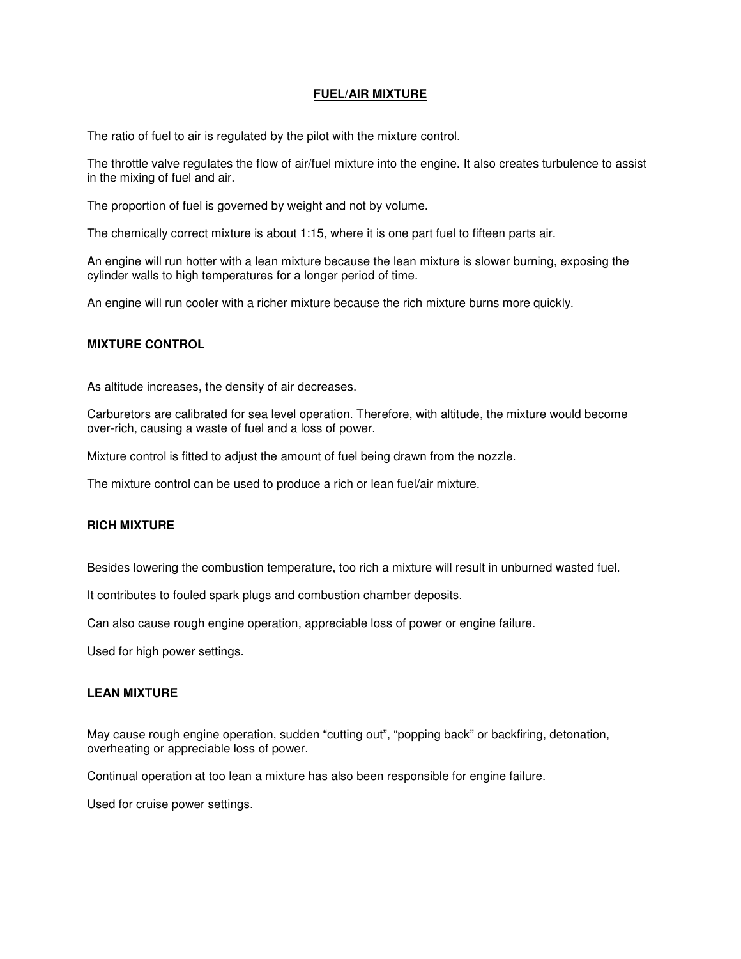# **FUEL/AIR MIXTURE**

The ratio of fuel to air is regulated by the pilot with the mixture control.

The throttle valve regulates the flow of air/fuel mixture into the engine. It also creates turbulence to assist in the mixing of fuel and air.

The proportion of fuel is governed by weight and not by volume.

The chemically correct mixture is about 1:15, where it is one part fuel to fifteen parts air.

An engine will run hotter with a lean mixture because the lean mixture is slower burning, exposing the cylinder walls to high temperatures for a longer period of time.

An engine will run cooler with a richer mixture because the rich mixture burns more quickly.

#### **MIXTURE CONTROL**

As altitude increases, the density of air decreases.

Carburetors are calibrated for sea level operation. Therefore, with altitude, the mixture would become over-rich, causing a waste of fuel and a loss of power.

Mixture control is fitted to adjust the amount of fuel being drawn from the nozzle.

The mixture control can be used to produce a rich or lean fuel/air mixture.

### **RICH MIXTURE**

Besides lowering the combustion temperature, too rich a mixture will result in unburned wasted fuel.

It contributes to fouled spark plugs and combustion chamber deposits.

Can also cause rough engine operation, appreciable loss of power or engine failure.

Used for high power settings.

## **LEAN MIXTURE**

May cause rough engine operation, sudden "cutting out", "popping back" or backfiring, detonation, overheating or appreciable loss of power.

Continual operation at too lean a mixture has also been responsible for engine failure.

Used for cruise power settings.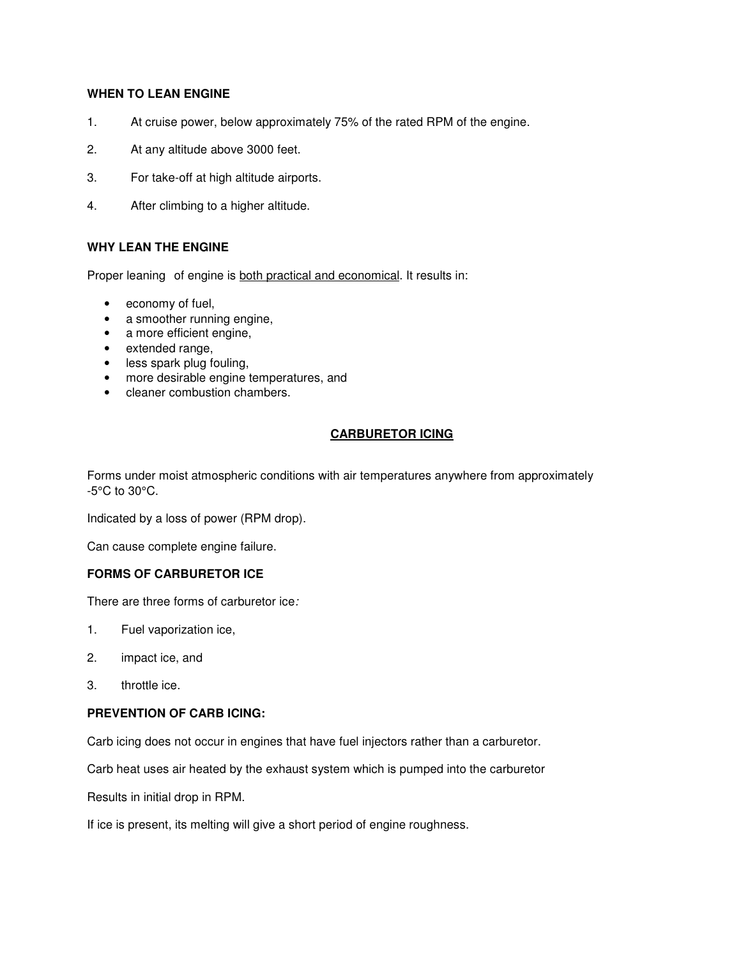# **WHEN TO LEAN ENGINE**

- 1. At cruise power, below approximately 75% of the rated RPM of the engine.
- 2. At any altitude above 3000 feet.
- 3. For take-off at high altitude airports.
- 4. After climbing to a higher altitude.

# **WHY LEAN THE ENGINE**

Proper leaning of engine is both practical and economical. It results in:

- economy of fuel,
- a smoother running engine,
- a more efficient engine,
- extended range,
- less spark plug fouling,
- more desirable engine temperatures, and
- cleaner combustion chambers.

# **CARBURETOR ICING**

Forms under moist atmospheric conditions with air temperatures anywhere from approximately -5°C to 30°C.

Indicated by a loss of power (RPM drop).

Can cause complete engine failure.

#### **FORMS OF CARBURETOR ICE**

There are three forms of carburetor ice:

- 1. Fuel vaporization ice,
- 2. impact ice, and
- 3. throttle ice.

#### **PREVENTION OF CARB ICING:**

Carb icing does not occur in engines that have fuel injectors rather than a carburetor.

Carb heat uses air heated by the exhaust system which is pumped into the carburetor

Results in initial drop in RPM.

If ice is present, its melting will give a short period of engine roughness.